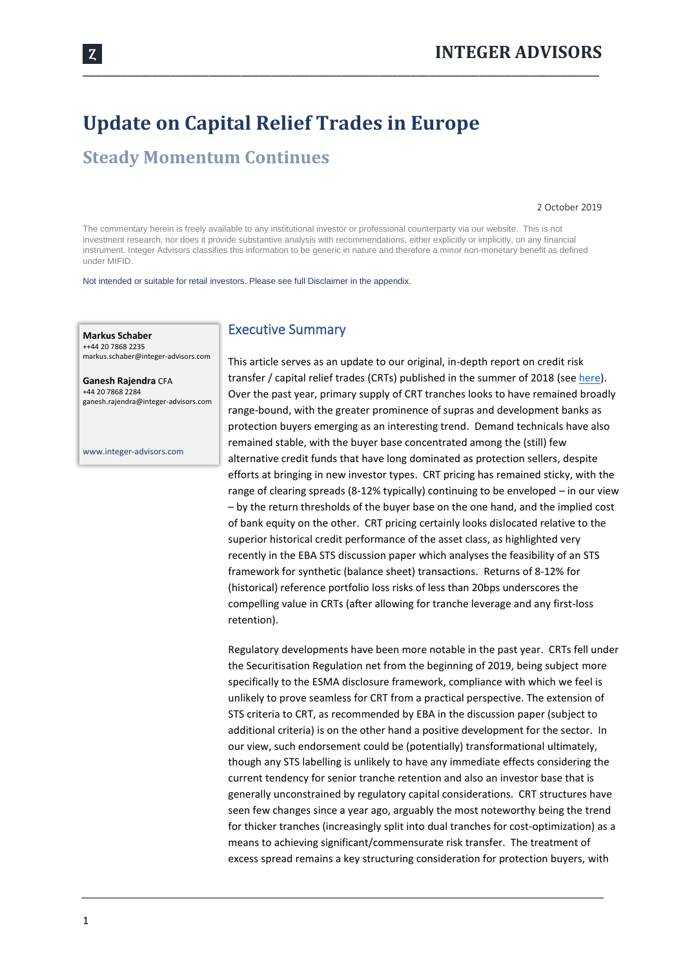# **Update on Capital Relief Trades in Europe**

## **Steady Momentum Continues**

2 October 2019

The commentary herein is freely available to any institutional investor or professional counterparty via our website. This is not investment research, nor does it provide substantive analysis with recommendations, either explicitly or implicitly, on any financial instrument. Integer Advisors classifies this information to be generic in nature and therefore a minor non-monetary benefit as defined under MIFID.

\_\_\_\_\_\_\_\_\_\_\_\_\_\_\_\_\_\_\_\_\_\_\_\_\_\_\_\_\_\_\_\_\_\_\_\_\_\_\_\_\_\_\_\_\_\_\_\_\_\_\_\_\_\_\_\_\_\_\_\_\_\_\_\_\_\_\_\_\_\_\_\_\_\_\_\_\_\_\_\_\_\_

Not intended or suitable for retail investors. Please see full Disclaimer in the appendix.

**Markus Schaber** ++44 20 7868 2235 markus.schaber@integer-advisors.com

**Ganesh Rajendra** CFA +44 20 7868 2284 ganesh.rajendra@integer-advisors.com

www.integer-advisors.com

### Executive Summary

This article serves as an update to our original, in-depth report on credit risk transfer / capital relief trades (CRTs) published in the summer of 2018 (se[e here\)](https://integer-advisors.com/news/exploring-crt-opportunities-europe/). Over the past year, primary supply of CRT tranches looks to have remained broadly range-bound, with the greater prominence of supras and development banks as protection buyers emerging as an interesting trend. Demand technicals have also remained stable, with the buyer base concentrated among the (still) few alternative credit funds that have long dominated as protection sellers, despite efforts at bringing in new investor types. CRT pricing has remained sticky, with the range of clearing spreads (8-12% typically) continuing to be enveloped – in our view – by the return thresholds of the buyer base on the one hand, and the implied cost of bank equity on the other. CRT pricing certainly looks dislocated relative to the superior historical credit performance of the asset class, as highlighted very recently in the EBA STS discussion paper which analyses the feasibility of an STS framework for synthetic (balance sheet) transactions. Returns of 8-12% for (historical) reference portfolio loss risks of less than 20bps underscores the compelling value in CRTs (after allowing for tranche leverage and any first-loss retention).

Regulatory developments have been more notable in the past year. CRTs fell under the Securitisation Regulation net from the beginning of 2019, being subject more specifically to the ESMA disclosure framework, compliance with which we feel is unlikely to prove seamless for CRT from a practical perspective. The extension of STS criteria to CRT, as recommended by EBA in the discussion paper (subject to additional criteria) is on the other hand a positive development for the sector. In our view, such endorsement could be (potentially) transformational ultimately, though any STS labelling is unlikely to have any immediate effects considering the current tendency for senior tranche retention and also an investor base that is generally unconstrained by regulatory capital considerations. CRT structures have seen few changes since a year ago, arguably the most noteworthy being the trend for thicker tranches (increasingly split into dual tranches for cost-optimization) as a means to achieving significant/commensurate risk transfer. The treatment of excess spread remains a key structuring consideration for protection buyers, with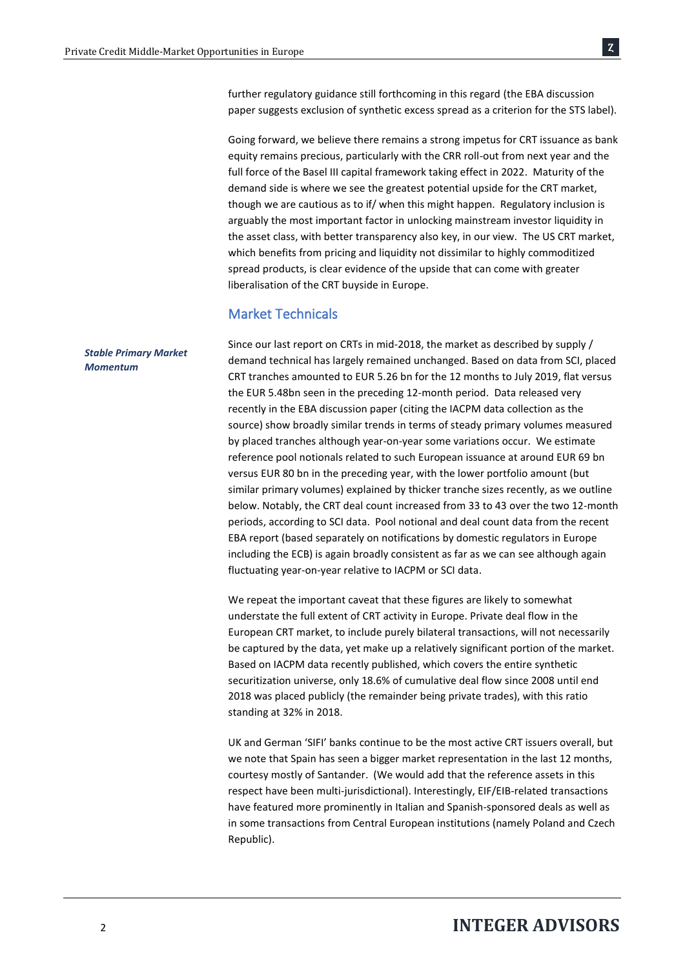further regulatory guidance still forthcoming in this regard (the EBA discussion paper suggests exclusion of synthetic excess spread as a criterion for the STS label).

Going forward, we believe there remains a strong impetus for CRT issuance as bank equity remains precious, particularly with the CRR roll-out from next year and the full force of the Basel III capital framework taking effect in 2022. Maturity of the demand side is where we see the greatest potential upside for the CRT market, though we are cautious as to if/ when this might happen. Regulatory inclusion is arguably the most important factor in unlocking mainstream investor liquidity in the asset class, with better transparency also key, in our view. The US CRT market, which benefits from pricing and liquidity not dissimilar to highly commoditized spread products, is clear evidence of the upside that can come with greater liberalisation of the CRT buyside in Europe.

### Market Technicals

Since our last report on CRTs in mid-2018, the market as described by supply / demand technical has largely remained unchanged. Based on data from SCI, placed CRT tranches amounted to EUR 5.26 bn for the 12 months to July 2019, flat versus the EUR 5.48bn seen in the preceding 12-month period. Data released very recently in the EBA discussion paper (citing the IACPM data collection as the source) show broadly similar trends in terms of steady primary volumes measured by placed tranches although year-on-year some variations occur. We estimate reference pool notionals related to such European issuance at around EUR 69 bn versus EUR 80 bn in the preceding year, with the lower portfolio amount (but similar primary volumes) explained by thicker tranche sizes recently, as we outline below. Notably, the CRT deal count increased from 33 to 43 over the two 12-month periods, according to SCI data. Pool notional and deal count data from the recent EBA report (based separately on notifications by domestic regulators in Europe including the ECB) is again broadly consistent as far as we can see although again fluctuating year-on-year relative to IACPM or SCI data.

> We repeat the important caveat that these figures are likely to somewhat understate the full extent of CRT activity in Europe. Private deal flow in the European CRT market, to include purely bilateral transactions, will not necessarily be captured by the data, yet make up a relatively significant portion of the market. Based on IACPM data recently published, which covers the entire synthetic securitization universe, only 18.6% of cumulative deal flow since 2008 until end 2018 was placed publicly (the remainder being private trades), with this ratio standing at 32% in 2018.

> UK and German 'SIFI' banks continue to be the most active CRT issuers overall, but we note that Spain has seen a bigger market representation in the last 12 months, courtesy mostly of Santander. (We would add that the reference assets in this respect have been multi-jurisdictional). Interestingly, EIF/EIB-related transactions have featured more prominently in Italian and Spanish-sponsored deals as well as in some transactions from Central European institutions (namely Poland and Czech Republic).

#### *Stable Primary Market Momentum*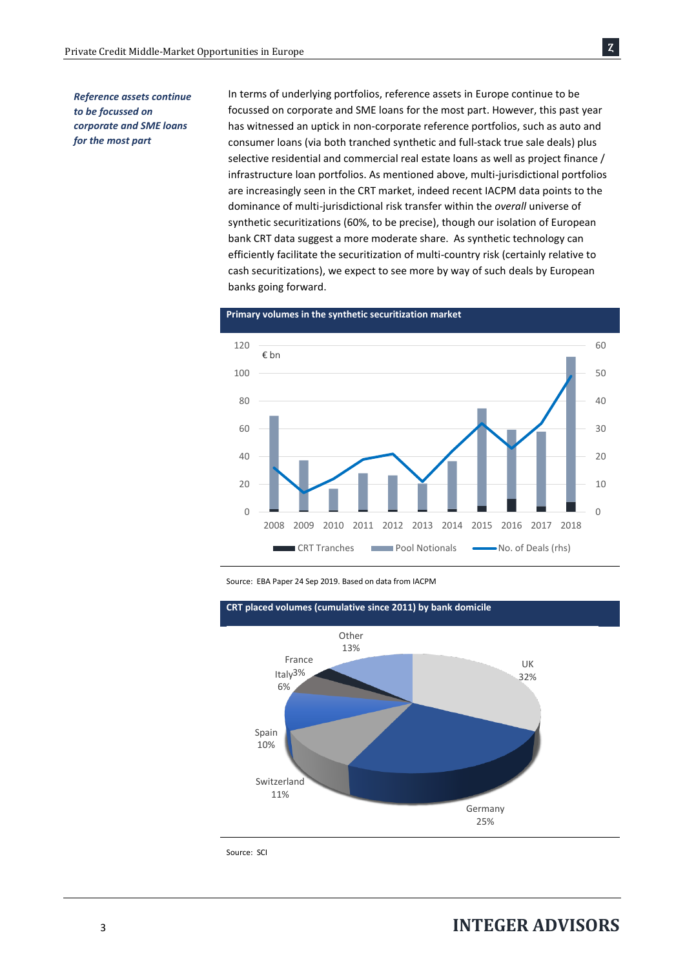Ȥ

### *Reference assets continue to be focussed on corporate and SME loans for the most part*

In terms of underlying portfolios, reference assets in Europe continue to be focussed on corporate and SME loans for the most part. However, this past year has witnessed an uptick in non-corporate reference portfolios, such as auto and consumer loans (via both tranched synthetic and full-stack true sale deals) plus selective residential and commercial real estate loans as well as project finance / infrastructure loan portfolios. As mentioned above, multi-jurisdictional portfolios are increasingly seen in the CRT market, indeed recent IACPM data points to the dominance of multi-jurisdictional risk transfer within the *overall* universe of synthetic securitizations (60%, to be precise), though our isolation of European bank CRT data suggest a more moderate share. As synthetic technology can efficiently facilitate the securitization of multi-country risk (certainly relative to cash securitizations), we expect to see more by way of such deals by European banks going forward.



**Primary volumes in the synthetic securitization market**

Source: EBA Paper 24 Sep 2019. Based on data from IACPM



Source: SCI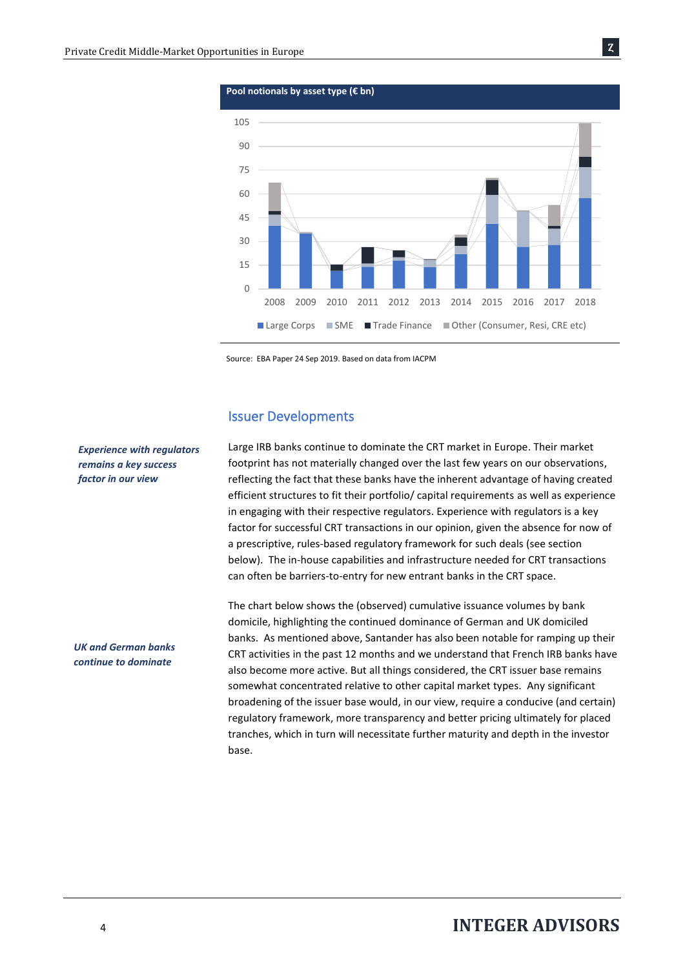

Source: EBA Paper 24 Sep 2019. Based on data from IACPM

#### Issuer Developments

Large IRB banks continue to dominate the CRT market in Europe. Their market footprint has not materially changed over the last few years on our observations, reflecting the fact that these banks have the inherent advantage of having created efficient structures to fit their portfolio/ capital requirements as well as experience in engaging with their respective regulators. Experience with regulators is a key factor for successful CRT transactions in our opinion, given the absence for now of a prescriptive, rules-based regulatory framework for such deals (see section below). The in-house capabilities and infrastructure needed for CRT transactions can often be barriers-to-entry for new entrant banks in the CRT space.

The chart below shows the (observed) cumulative issuance volumes by bank domicile, highlighting the continued dominance of German and UK domiciled banks. As mentioned above, Santander has also been notable for ramping up their CRT activities in the past 12 months and we understand that French IRB banks have also become more active. But all things considered, the CRT issuer base remains somewhat concentrated relative to other capital market types. Any significant broadening of the issuer base would, in our view, require a conducive (and certain) regulatory framework, more transparency and better pricing ultimately for placed tranches, which in turn will necessitate further maturity and depth in the investor base.

*Experience with regulators remains a key success factor in our view*

*UK and German banks continue to dominate*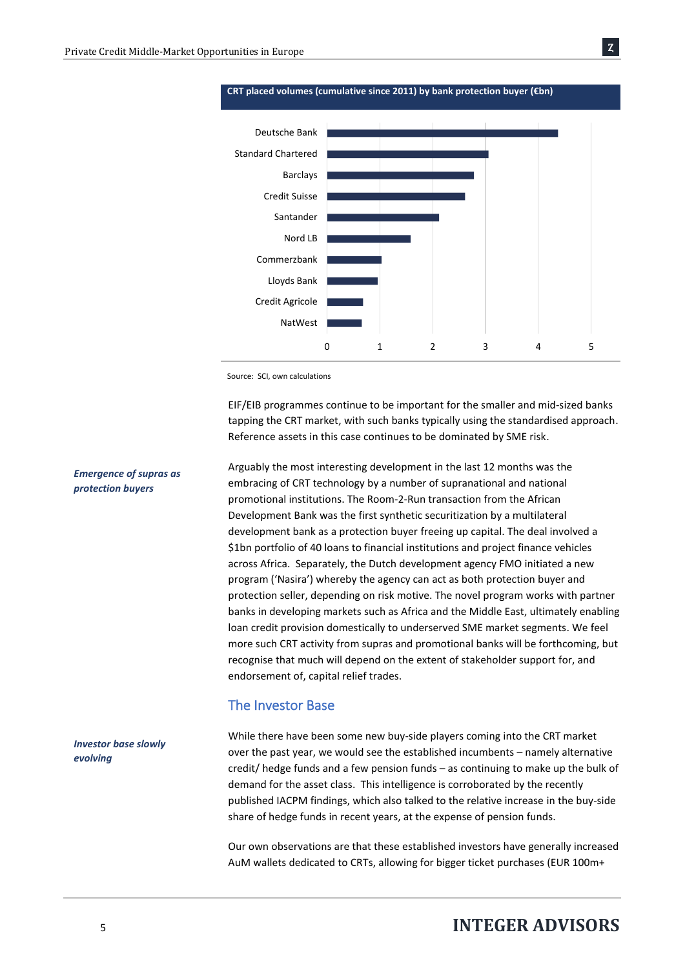

Ȥ

Source: SCI, own calculations

EIF/EIB programmes continue to be important for the smaller and mid-sized banks tapping the CRT market, with such banks typically using the standardised approach. Reference assets in this case continues to be dominated by SME risk.

Arguably the most interesting development in the last 12 months was the embracing of CRT technology by a number of supranational and national promotional institutions. The Room-2-Run transaction from the African Development Bank was the first synthetic securitization by a multilateral development bank as a protection buyer freeing up capital. The deal involved a \$1bn portfolio of 40 loans to financial institutions and project finance vehicles across Africa. Separately, the Dutch development agency FMO initiated a new program ('Nasira') whereby the agency can act as both protection buyer and protection seller, depending on risk motive. The novel program works with partner banks in developing markets such as Africa and the Middle East, ultimately enabling loan credit provision domestically to underserved SME market segments. We feel more such CRT activity from supras and promotional banks will be forthcoming, but recognise that much will depend on the extent of stakeholder support for, and endorsement of, capital relief trades.

## The Investor Base

While there have been some new buy-side players coming into the CRT market over the past year, we would see the established incumbents – namely alternative credit/ hedge funds and a few pension funds – as continuing to make up the bulk of demand for the asset class. This intelligence is corroborated by the recently published IACPM findings, which also talked to the relative increase in the buy-side share of hedge funds in recent years, at the expense of pension funds. *Investor base slowly* 

> Our own observations are that these established investors have generally increased AuM wallets dedicated to CRTs, allowing for bigger ticket purchases (EUR 100m+

## *Emergence of supras as protection buyers*

*evolving*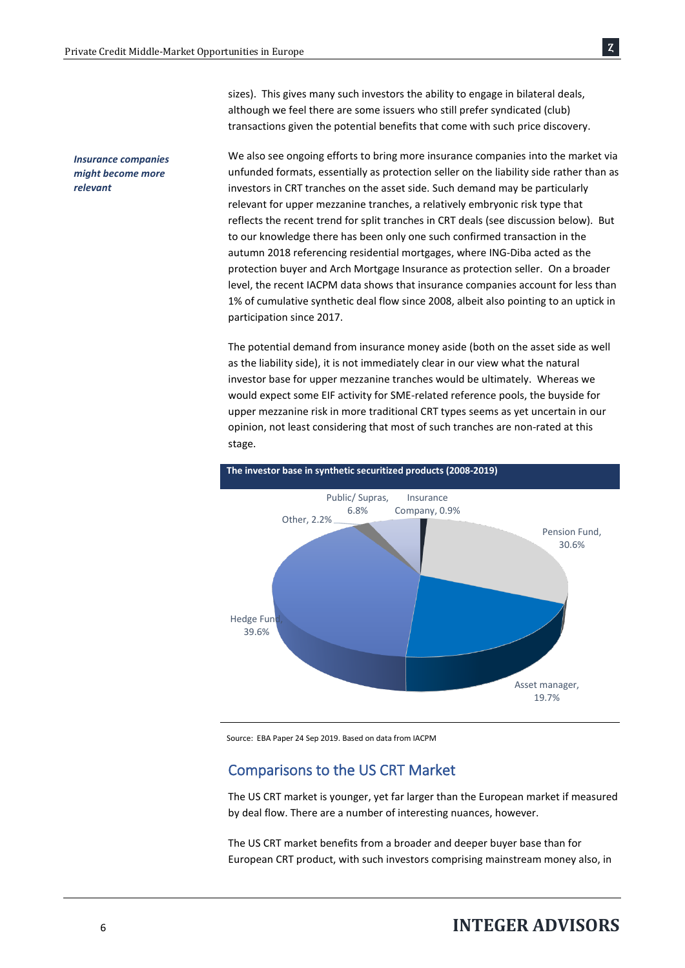*Insurance companies might become more* 

*relevant*

sizes). This gives many such investors the ability to engage in bilateral deals, although we feel there are some issuers who still prefer syndicated (club) transactions given the potential benefits that come with such price discovery.

We also see ongoing efforts to bring more insurance companies into the market via unfunded formats, essentially as protection seller on the liability side rather than as investors in CRT tranches on the asset side. Such demand may be particularly relevant for upper mezzanine tranches, a relatively embryonic risk type that reflects the recent trend for split tranches in CRT deals (see discussion below). But to our knowledge there has been only one such confirmed transaction in the autumn 2018 referencing residential mortgages, where ING-Diba acted as the protection buyer and Arch Mortgage Insurance as protection seller. On a broader level, the recent IACPM data shows that insurance companies account for less than 1% of cumulative synthetic deal flow since 2008, albeit also pointing to an uptick in participation since 2017.

The potential demand from insurance money aside (both on the asset side as well as the liability side), it is not immediately clear in our view what the natural investor base for upper mezzanine tranches would be ultimately. Whereas we would expect some EIF activity for SME-related reference pools, the buyside for upper mezzanine risk in more traditional CRT types seems as yet uncertain in our opinion, not least considering that most of such tranches are non-rated at this stage.



Source: EBA Paper 24 Sep 2019. Based on data from IACPM

## Comparisons to the US CRT Market

The US CRT market is younger, yet far larger than the European market if measured by deal flow. There are a number of interesting nuances, however.

The US CRT market benefits from a broader and deeper buyer base than for European CRT product, with such investors comprising mainstream money also, in

Ȥ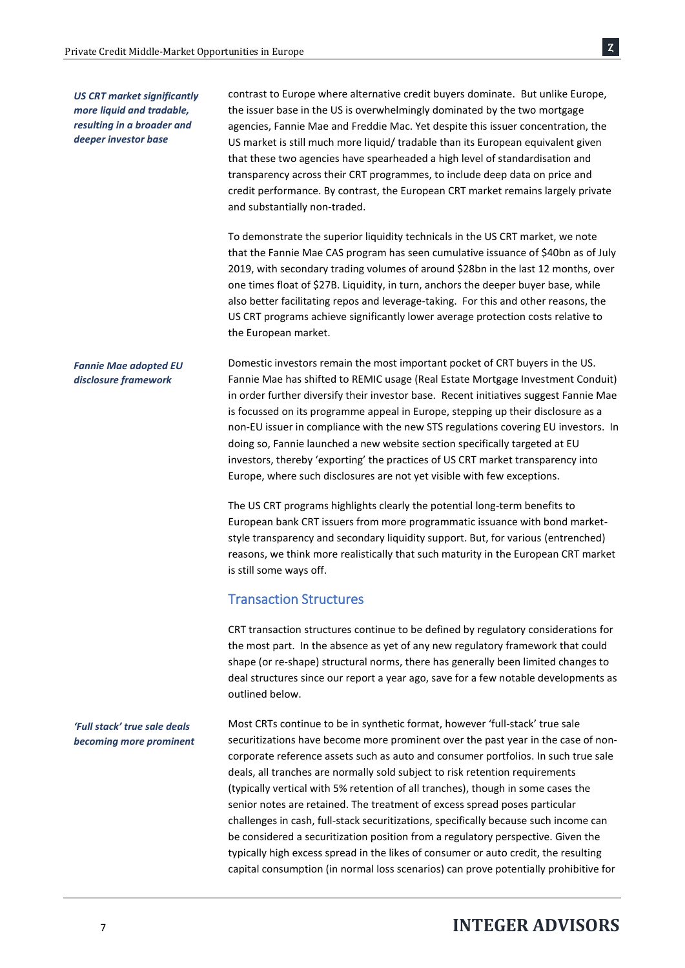contrast to Europe where alternative credit buyers dominate. But unlike Europe, the issuer base in the US is overwhelmingly dominated by the two mortgage agencies, Fannie Mae and Freddie Mac. Yet despite this issuer concentration, the US market is still much more liquid/ tradable than its European equivalent given that these two agencies have spearheaded a high level of standardisation and transparency across their CRT programmes, to include deep data on price and credit performance. By contrast, the European CRT market remains largely private and substantially non-traded.

To demonstrate the superior liquidity technicals in the US CRT market, we note that the Fannie Mae CAS program has seen cumulative issuance of \$40bn as of July 2019, with secondary trading volumes of around \$28bn in the last 12 months, over one times float of \$27B. Liquidity, in turn, anchors the deeper buyer base, while also better facilitating repos and leverage-taking. For this and other reasons, the US CRT programs achieve significantly lower average protection costs relative to the European market.

Domestic investors remain the most important pocket of CRT buyers in the US. Fannie Mae has shifted to REMIC usage (Real Estate Mortgage Investment Conduit) in order further diversify their investor base. Recent initiatives suggest Fannie Mae is focussed on its programme appeal in Europe, stepping up their disclosure as a non-EU issuer in compliance with the new STS regulations covering EU investors. In doing so, Fannie launched a new website section specifically targeted at EU investors, thereby 'exporting' the practices of US CRT market transparency into Europe, where such disclosures are not yet visible with few exceptions. *Fannie Mae adopted EU disclosure framework*

> The US CRT programs highlights clearly the potential long-term benefits to European bank CRT issuers from more programmatic issuance with bond marketstyle transparency and secondary liquidity support. But, for various (entrenched) reasons, we think more realistically that such maturity in the European CRT market is still some ways off.

## Transaction Structures

CRT transaction structures continue to be defined by regulatory considerations for the most part. In the absence as yet of any new regulatory framework that could shape (or re-shape) structural norms, there has generally been limited changes to deal structures since our report a year ago, save for a few notable developments as outlined below.

Most CRTs continue to be in synthetic format, however 'full-stack' true sale securitizations have become more prominent over the past year in the case of noncorporate reference assets such as auto and consumer portfolios. In such true sale deals, all tranches are normally sold subject to risk retention requirements (typically vertical with 5% retention of all tranches), though in some cases the senior notes are retained. The treatment of excess spread poses particular challenges in cash, full-stack securitizations, specifically because such income can be considered a securitization position from a regulatory perspective. Given the typically high excess spread in the likes of consumer or auto credit, the resulting capital consumption (in normal loss scenarios) can prove potentially prohibitive for *'Full stack' true sale deals becoming more prominent*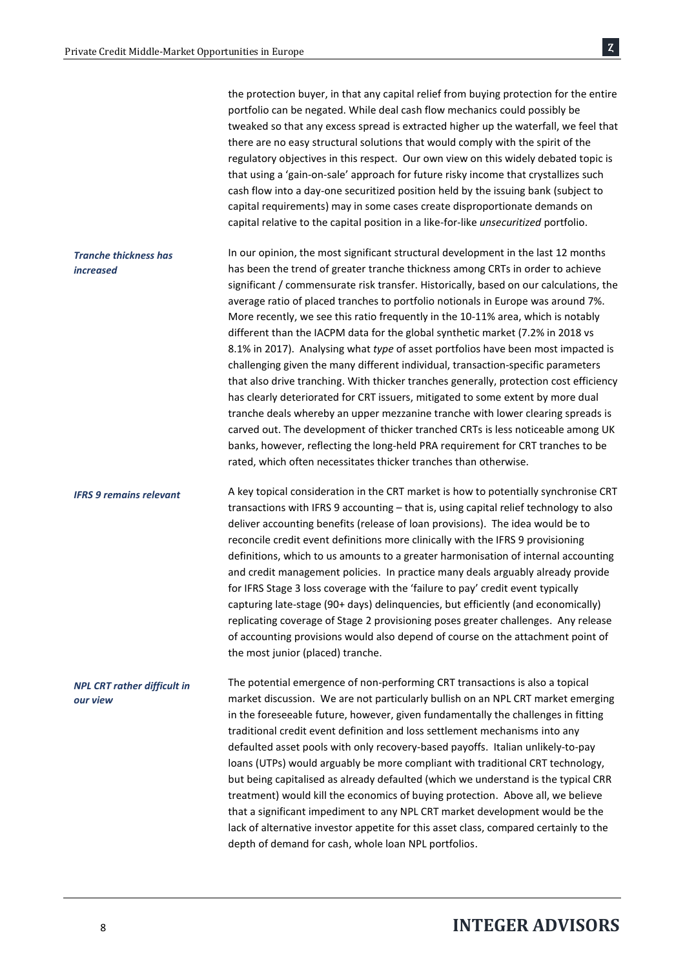the protection buyer, in that any capital relief from buying protection for the entire portfolio can be negated. While deal cash flow mechanics could possibly be tweaked so that any excess spread is extracted higher up the waterfall, we feel that there are no easy structural solutions that would comply with the spirit of the regulatory objectives in this respect. Our own view on this widely debated topic is that using a 'gain-on-sale' approach for future risky income that crystallizes such cash flow into a day-one securitized position held by the issuing bank (subject to capital requirements) may in some cases create disproportionate demands on capital relative to the capital position in a like-for-like *unsecuritized* portfolio.

In our opinion, the most significant structural development in the last 12 months has been the trend of greater tranche thickness among CRTs in order to achieve significant / commensurate risk transfer. Historically, based on our calculations, the average ratio of placed tranches to portfolio notionals in Europe was around 7%. More recently, we see this ratio frequently in the 10-11% area, which is notably different than the IACPM data for the global synthetic market (7.2% in 2018 vs 8.1% in 2017). Analysing what *type* of asset portfolios have been most impacted is challenging given the many different individual, transaction-specific parameters that also drive tranching. With thicker tranches generally, protection cost efficiency has clearly deteriorated for CRT issuers, mitigated to some extent by more dual tranche deals whereby an upper mezzanine tranche with lower clearing spreads is carved out. The development of thicker tranched CRTs is less noticeable among UK banks, however, reflecting the long-held PRA requirement for CRT tranches to be rated, which often necessitates thicker tranches than otherwise. *Tranche thickness has increased*

A key topical consideration in the CRT market is how to potentially synchronise CRT transactions with IFRS 9 accounting – that is, using capital relief technology to also deliver accounting benefits (release of loan provisions). The idea would be to reconcile credit event definitions more clinically with the IFRS 9 provisioning definitions, which to us amounts to a greater harmonisation of internal accounting and credit management policies. In practice many deals arguably already provide for IFRS Stage 3 loss coverage with the 'failure to pay' credit event typically capturing late-stage (90+ days) delinquencies, but efficiently (and economically) replicating coverage of Stage 2 provisioning poses greater challenges. Any release of accounting provisions would also depend of course on the attachment point of the most junior (placed) tranche. *IFRS 9 remains relevant*

The potential emergence of non-performing CRT transactions is also a topical market discussion. We are not particularly bullish on an NPL CRT market emerging in the foreseeable future, however, given fundamentally the challenges in fitting traditional credit event definition and loss settlement mechanisms into any defaulted asset pools with only recovery-based payoffs. Italian unlikely-to-pay loans (UTPs) would arguably be more compliant with traditional CRT technology, but being capitalised as already defaulted (which we understand is the typical CRR treatment) would kill the economics of buying protection. Above all, we believe that a significant impediment to any NPL CRT market development would be the lack of alternative investor appetite for this asset class, compared certainly to the depth of demand for cash, whole loan NPL portfolios. *NPL CRT rather difficult in our view*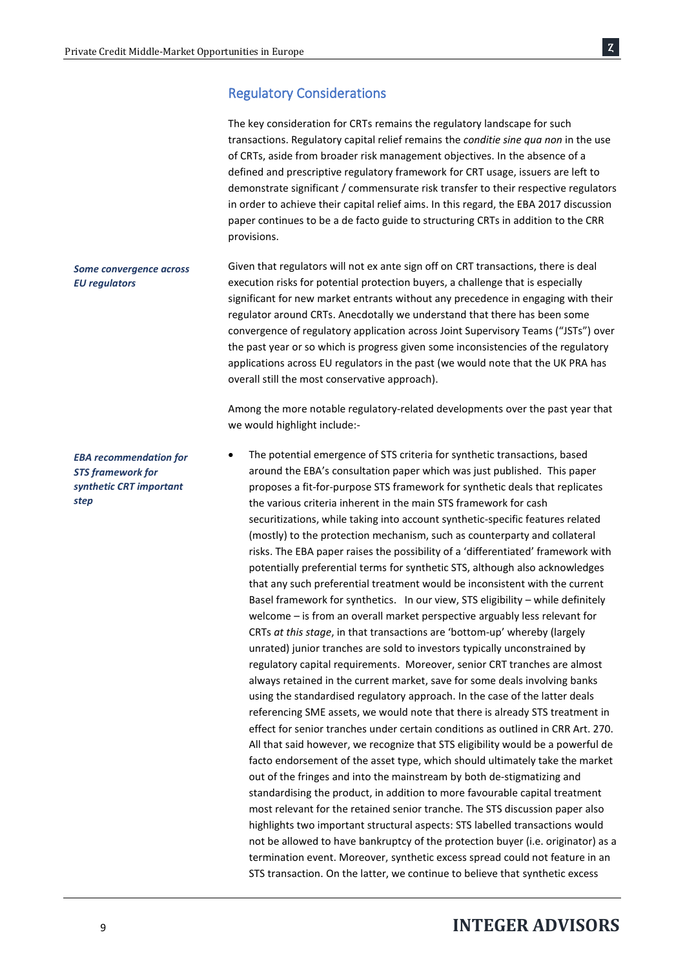## Regulatory Considerations

| The key consideration for CRTs remains the regulatory landscape for such<br>transactions. Regulatory capital relief remains the conditie sine qua non in the use<br>of CRTs, aside from broader risk management objectives. In the absence of a<br>defined and prescriptive regulatory framework for CRT usage, issuers are left to<br>demonstrate significant / commensurate risk transfer to their respective regulators<br>in order to achieve their capital relief aims. In this regard, the EBA 2017 discussion<br>paper continues to be a de facto guide to structuring CRTs in addition to the CRR<br>provisions.                                                                                                                                                                                                                                                                                                                                                                                                                                                                                                                                                                                                                                                                                                                                                                                                                                                                                                                                                                                                                                                                                                                                                                                                                                                                                                                                                                                                                                                                                                                                                                                                  |  |  |  |
|---------------------------------------------------------------------------------------------------------------------------------------------------------------------------------------------------------------------------------------------------------------------------------------------------------------------------------------------------------------------------------------------------------------------------------------------------------------------------------------------------------------------------------------------------------------------------------------------------------------------------------------------------------------------------------------------------------------------------------------------------------------------------------------------------------------------------------------------------------------------------------------------------------------------------------------------------------------------------------------------------------------------------------------------------------------------------------------------------------------------------------------------------------------------------------------------------------------------------------------------------------------------------------------------------------------------------------------------------------------------------------------------------------------------------------------------------------------------------------------------------------------------------------------------------------------------------------------------------------------------------------------------------------------------------------------------------------------------------------------------------------------------------------------------------------------------------------------------------------------------------------------------------------------------------------------------------------------------------------------------------------------------------------------------------------------------------------------------------------------------------------------------------------------------------------------------------------------------------|--|--|--|
| Given that regulators will not ex ante sign off on CRT transactions, there is deal<br>execution risks for potential protection buyers, a challenge that is especially<br>significant for new market entrants without any precedence in engaging with their<br>regulator around CRTs. Anecdotally we understand that there has been some<br>convergence of regulatory application across Joint Supervisory Teams ("JSTs") over<br>the past year or so which is progress given some inconsistencies of the regulatory<br>applications across EU regulators in the past (we would note that the UK PRA has<br>overall still the most conservative approach).                                                                                                                                                                                                                                                                                                                                                                                                                                                                                                                                                                                                                                                                                                                                                                                                                                                                                                                                                                                                                                                                                                                                                                                                                                                                                                                                                                                                                                                                                                                                                                 |  |  |  |
| Among the more notable regulatory-related developments over the past year that<br>we would highlight include:-                                                                                                                                                                                                                                                                                                                                                                                                                                                                                                                                                                                                                                                                                                                                                                                                                                                                                                                                                                                                                                                                                                                                                                                                                                                                                                                                                                                                                                                                                                                                                                                                                                                                                                                                                                                                                                                                                                                                                                                                                                                                                                            |  |  |  |
| The potential emergence of STS criteria for synthetic transactions, based<br>٠<br>around the EBA's consultation paper which was just published. This paper<br>proposes a fit-for-purpose STS framework for synthetic deals that replicates<br>the various criteria inherent in the main STS framework for cash<br>securitizations, while taking into account synthetic-specific features related<br>(mostly) to the protection mechanism, such as counterparty and collateral<br>risks. The EBA paper raises the possibility of a 'differentiated' framework with<br>potentially preferential terms for synthetic STS, although also acknowledges<br>that any such preferential treatment would be inconsistent with the current<br>Basel framework for synthetics. In our view, STS eligibility - while definitely<br>welcome - is from an overall market perspective arguably less relevant for<br>CRTs at this stage, in that transactions are 'bottom-up' whereby (largely<br>unrated) junior tranches are sold to investors typically unconstrained by<br>regulatory capital requirements. Moreover, senior CRT tranches are almost<br>always retained in the current market, save for some deals involving banks<br>using the standardised regulatory approach. In the case of the latter deals<br>referencing SME assets, we would note that there is already STS treatment in<br>effect for senior tranches under certain conditions as outlined in CRR Art. 270.<br>All that said however, we recognize that STS eligibility would be a powerful de<br>facto endorsement of the asset type, which should ultimately take the market<br>out of the fringes and into the mainstream by both de-stigmatizing and<br>standardising the product, in addition to more favourable capital treatment<br>most relevant for the retained senior tranche. The STS discussion paper also<br>highlights two important structural aspects: STS labelled transactions would<br>not be allowed to have bankruptcy of the protection buyer (i.e. originator) as a<br>termination event. Moreover, synthetic excess spread could not feature in an<br>STS transaction. On the latter, we continue to believe that synthetic excess |  |  |  |
|                                                                                                                                                                                                                                                                                                                                                                                                                                                                                                                                                                                                                                                                                                                                                                                                                                                                                                                                                                                                                                                                                                                                                                                                                                                                                                                                                                                                                                                                                                                                                                                                                                                                                                                                                                                                                                                                                                                                                                                                                                                                                                                                                                                                                           |  |  |  |

<sup>9</sup>**INTEGER ADVISORS**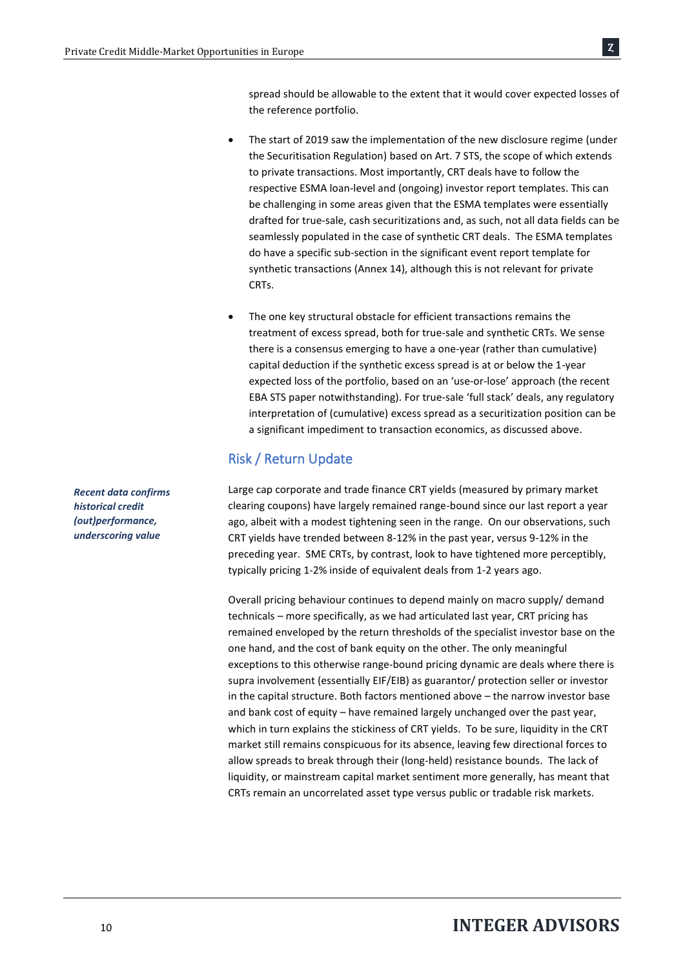spread should be allowable to the extent that it would cover expected losses of the reference portfolio.

- The start of 2019 saw the implementation of the new disclosure regime (under the Securitisation Regulation) based on Art. 7 STS, the scope of which extends to private transactions. Most importantly, CRT deals have to follow the respective ESMA loan-level and (ongoing) investor report templates. This can be challenging in some areas given that the ESMA templates were essentially drafted for true-sale, cash securitizations and, as such, not all data fields can be seamlessly populated in the case of synthetic CRT deals. The ESMA templates do have a specific sub-section in the significant event report template for synthetic transactions (Annex 14), although this is not relevant for private CRTs.
- The one key structural obstacle for efficient transactions remains the treatment of excess spread, both for true-sale and synthetic CRTs. We sense there is a consensus emerging to have a one-year (rather than cumulative) capital deduction if the synthetic excess spread is at or below the 1-year expected loss of the portfolio, based on an 'use-or-lose' approach (the recent EBA STS paper notwithstanding). For true-sale 'full stack' deals, any regulatory interpretation of (cumulative) excess spread as a securitization position can be a significant impediment to transaction economics, as discussed above.

## Risk / Return Update

Large cap corporate and trade finance CRT yields (measured by primary market clearing coupons) have largely remained range-bound since our last report a year ago, albeit with a modest tightening seen in the range. On our observations, such CRT yields have trended between 8-12% in the past year, versus 9-12% in the preceding year. SME CRTs, by contrast, look to have tightened more perceptibly, typically pricing 1-2% inside of equivalent deals from 1-2 years ago.

Overall pricing behaviour continues to depend mainly on macro supply/ demand technicals – more specifically, as we had articulated last year, CRT pricing has remained enveloped by the return thresholds of the specialist investor base on the one hand, and the cost of bank equity on the other. The only meaningful exceptions to this otherwise range-bound pricing dynamic are deals where there is supra involvement (essentially EIF/EIB) as guarantor/ protection seller or investor in the capital structure. Both factors mentioned above – the narrow investor base and bank cost of equity – have remained largely unchanged over the past year, which in turn explains the stickiness of CRT yields. To be sure, liquidity in the CRT market still remains conspicuous for its absence, leaving few directional forces to allow spreads to break through their (long-held) resistance bounds. The lack of liquidity, or mainstream capital market sentiment more generally, has meant that CRTs remain an uncorrelated asset type versus public or tradable risk markets.

*Recent data confirms historical credit (out)performance, underscoring value*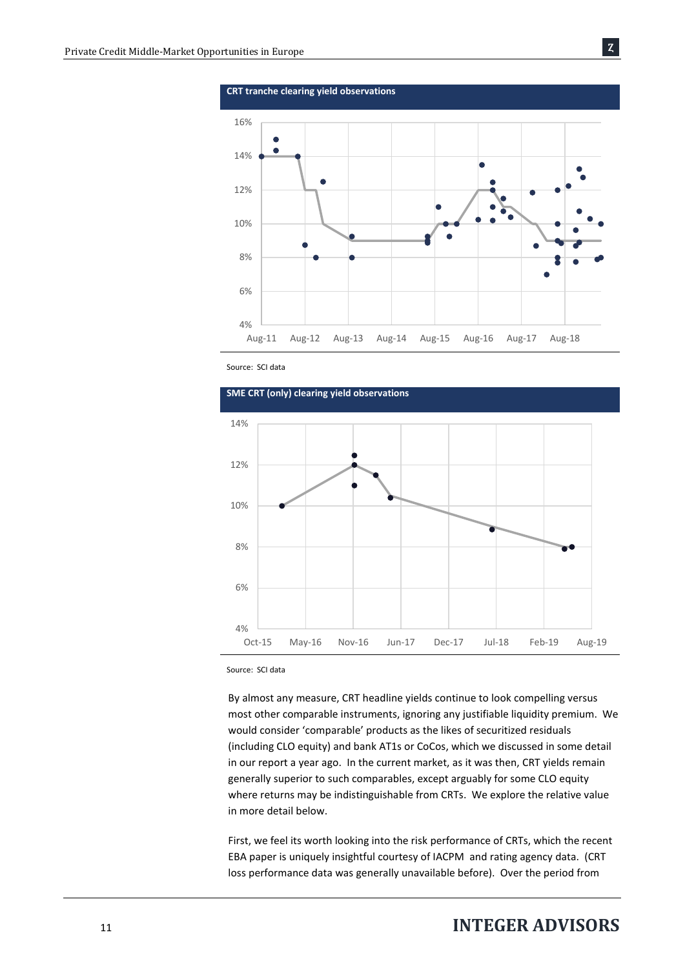

Ȥ

Source: SCI data



Source: SCI data

By almost any measure, CRT headline yields continue to look compelling versus most other comparable instruments, ignoring any justifiable liquidity premium. We would consider 'comparable' products as the likes of securitized residuals (including CLO equity) and bank AT1s or CoCos, which we discussed in some detail in our report a year ago. In the current market, as it was then, CRT yields remain generally superior to such comparables, except arguably for some CLO equity where returns may be indistinguishable from CRTs. We explore the relative value in more detail below.

First, we feel its worth looking into the risk performance of CRTs, which the recent EBA paper is uniquely insightful courtesy of IACPM and rating agency data. (CRT loss performance data was generally unavailable before). Over the period from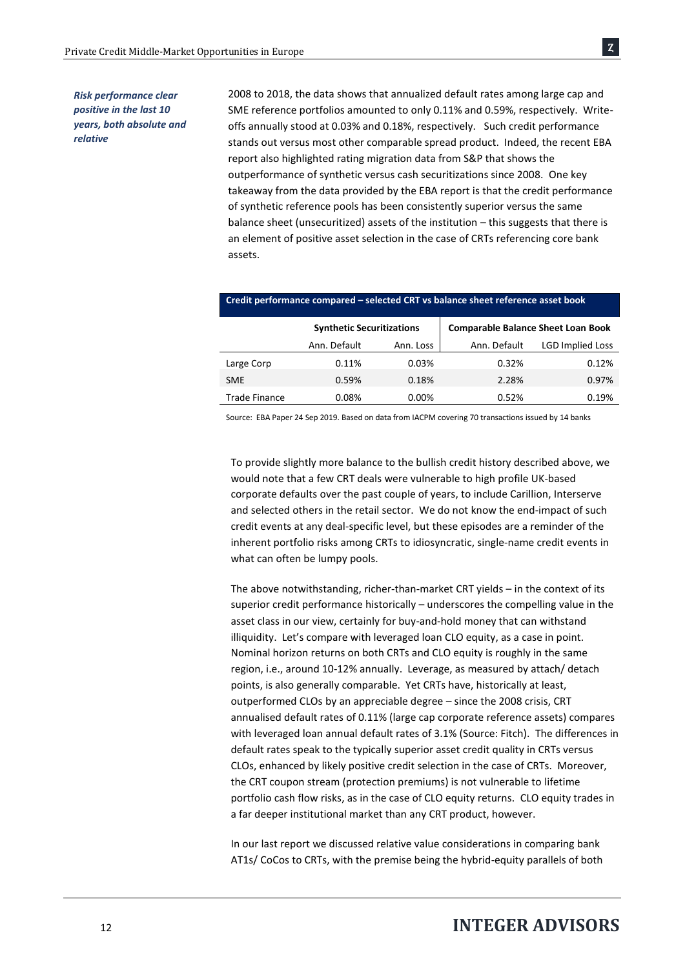#### *Risk performance clear positive in the last 10 years, both absolute and relative*

2008 to 2018, the data shows that annualized default rates among large cap and SME reference portfolios amounted to only 0.11% and 0.59%, respectively. Writeoffs annually stood at 0.03% and 0.18%, respectively. Such credit performance stands out versus most other comparable spread product. Indeed, the recent EBA report also highlighted rating migration data from S&P that shows the outperformance of synthetic versus cash securitizations since 2008. One key takeaway from the data provided by the EBA report is that the credit performance of synthetic reference pools has been consistently superior versus the same balance sheet (unsecuritized) assets of the institution – this suggests that there is an element of positive asset selection in the case of CRTs referencing core bank assets.

|                      | <b>Synthetic Securitizations</b> |           | <b>Comparable Balance Sheet Loan Book</b> |                         |
|----------------------|----------------------------------|-----------|-------------------------------------------|-------------------------|
|                      | Ann. Default                     | Ann. Loss | Ann. Default                              | <b>LGD Implied Loss</b> |
| Large Corp           | 0.11%                            | 0.03%     | 0.32%                                     | 0.12%                   |
| <b>SME</b>           | 0.59%                            | 0.18%     | 2.28%                                     | 0.97%                   |
| <b>Trade Finance</b> | 0.08%                            | $0.00\%$  | 0.52%                                     | 0.19%                   |
|                      |                                  |           |                                           |                         |

#### **Credit performance compared – selected CRT vs balance sheet reference asset book**

Source: EBA Paper 24 Sep 2019. Based on data from IACPM covering 70 transactions issued by 14 banks

To provide slightly more balance to the bullish credit history described above, we would note that a few CRT deals were vulnerable to high profile UK-based corporate defaults over the past couple of years, to include Carillion, Interserve and selected others in the retail sector. We do not know the end-impact of such credit events at any deal-specific level, but these episodes are a reminder of the inherent portfolio risks among CRTs to idiosyncratic, single-name credit events in what can often be lumpy pools.

The above notwithstanding, richer-than-market CRT yields – in the context of its superior credit performance historically – underscores the compelling value in the asset class in our view, certainly for buy-and-hold money that can withstand illiquidity. Let's compare with leveraged loan CLO equity, as a case in point. Nominal horizon returns on both CRTs and CLO equity is roughly in the same region, i.e., around 10-12% annually. Leverage, as measured by attach/ detach points, is also generally comparable. Yet CRTs have, historically at least, outperformed CLOs by an appreciable degree – since the 2008 crisis, CRT annualised default rates of 0.11% (large cap corporate reference assets) compares with leveraged loan annual default rates of 3.1% (Source: Fitch). The differences in default rates speak to the typically superior asset credit quality in CRTs versus CLOs, enhanced by likely positive credit selection in the case of CRTs. Moreover, the CRT coupon stream (protection premiums) is not vulnerable to lifetime portfolio cash flow risks, as in the case of CLO equity returns. CLO equity trades in a far deeper institutional market than any CRT product, however.

In our last report we discussed relative value considerations in comparing bank AT1s/ CoCos to CRTs, with the premise being the hybrid-equity parallels of both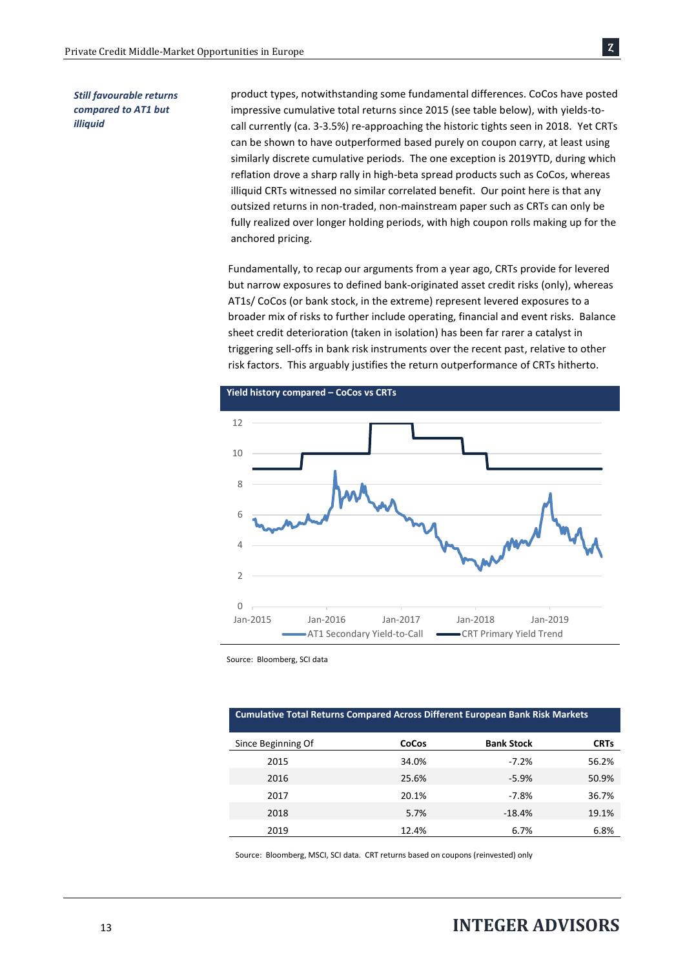#### *Still favourable returns compared to AT1 but illiquid*

product types, notwithstanding some fundamental differences. CoCos have posted impressive cumulative total returns since 2015 (see table below), with yields-tocall currently (ca. 3-3.5%) re-approaching the historic tights seen in 2018. Yet CRTs can be shown to have outperformed based purely on coupon carry, at least using similarly discrete cumulative periods. The one exception is 2019YTD, during which reflation drove a sharp rally in high-beta spread products such as CoCos, whereas illiquid CRTs witnessed no similar correlated benefit. Our point here is that any outsized returns in non-traded, non-mainstream paper such as CRTs can only be fully realized over longer holding periods, with high coupon rolls making up for the anchored pricing.

Fundamentally, to recap our arguments from a year ago, CRTs provide for levered but narrow exposures to defined bank-originated asset credit risks (only), whereas AT1s/ CoCos (or bank stock, in the extreme) represent levered exposures to a broader mix of risks to further include operating, financial and event risks. Balance sheet credit deterioration (taken in isolation) has been far rarer a catalyst in triggering sell-offs in bank risk instruments over the recent past, relative to other risk factors. This arguably justifies the return outperformance of CRTs hitherto.



Source: Bloomberg, SCI data

#### **Cumulative Total Returns Compared Across Different European Bank Risk Markets**

| Since Beginning Of | CoCos | <b>Bank Stock</b> | <b>CRTs</b> |
|--------------------|-------|-------------------|-------------|
| 2015               | 34.0% | $-7.2%$           | 56.2%       |
| 2016               | 25.6% | $-5.9%$           | 50.9%       |
| 2017               | 20.1% | $-7.8%$           | 36.7%       |
| 2018               | 5.7%  | $-18.4%$          | 19.1%       |
| 2019               | 12.4% | 6.7%              | 6.8%        |

Source: Bloomberg, MSCI, SCI data. CRT returns based on coupons (reinvested) only